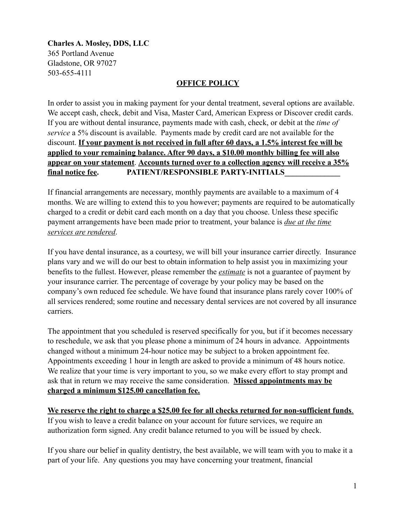**Charles A. Mosley, DDS, LLC** 365 Portland Avenue Gladstone, OR 97027 503-655-4111

## **OFFICE POLICY**

In order to assist you in making payment for your dental treatment, several options are available. We accept cash, check, debit and Visa, Master Card, American Express or Discover credit cards. If you are without dental insurance, payments made with cash, check, or debit at the *time of service* a 5% discount is available. Payments made by credit card are not available for the discount. **If your payment is not received in full after 60 days, a 1.5% interest fee will be applied to your remaining balance. After 90 days, a \$10.00 monthly billing fee will also appear on your statement**. **Accounts turned over to a collection agency will receive a 35% final notice fee. PATIENT/RESPONSIBLE PARTY-INITIALS\_\_\_\_\_\_\_\_\_\_\_\_\_\_** 

If financial arrangements are necessary, monthly payments are available to a maximum of 4 months. We are willing to extend this to you however; payments are required to be automatically charged to a credit or debit card each month on a day that you choose. Unless these specific payment arrangements have been made prior to treatment, your balance is *due at the time services are rendered*.

If you have dental insurance, as a courtesy, we will bill your insurance carrier directly. Insurance plans vary and we will do our best to obtain information to help assist you in maximizing your benefits to the fullest. However, please remember the *estimate* is not a guarantee of payment by your insurance carrier. The percentage of coverage by your policy may be based on the company's own reduced fee schedule. We have found that insurance plans rarely cover 100% of all services rendered; some routine and necessary dental services are not covered by all insurance carriers.

The appointment that you scheduled is reserved specifically for you, but if it becomes necessary to reschedule, we ask that you please phone a minimum of 24 hours in advance. Appointments changed without a minimum 24-hour notice may be subject to a broken appointment fee. Appointments exceeding 1 hour in length are asked to provide a minimum of 48 hours notice. We realize that your time is very important to you, so we make every effort to stay prompt and ask that in return we may receive the same consideration. **Missed appointments may be charged a minimum \$125.00 cancellation fee.**

**We reserve the right to charge a \$25.00 fee for all checks returned for non-sufficient funds**. If you wish to leave a credit balance on your account for future services, we require an authorization form signed. Any credit balance returned to you will be issued by check.

If you share our belief in quality dentistry, the best available, we will team with you to make it a part of your life. Any questions you may have concerning your treatment, financial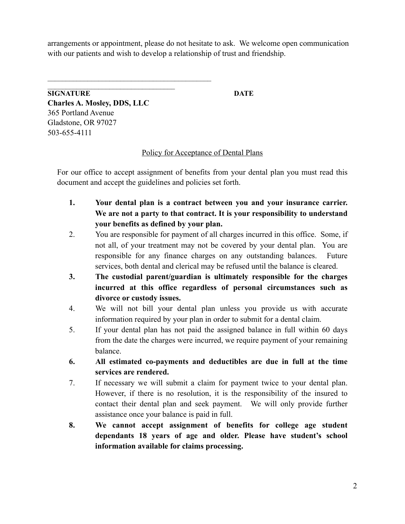arrangements or appointment, please do not hesitate to ask. We welcome open communication with our patients and wish to develop a relationship of trust and friendship.

 $\mathcal{L}_\text{max}$ **SIGNATURE DATE Charles A. Mosley, DDS, LLC** 365 Portland Avenue Gladstone, OR 97027 503-655-4111

 $\mathcal{L}_\text{max}$  and the contract of the contract of the contract of the contract of the contract of the contract of the contract of the contract of the contract of the contract of the contract of the contract of the contrac

Policy for Acceptance of Dental Plans

For our office to accept assignment of benefits from your dental plan you must read this document and accept the guidelines and policies set forth.

- **1. Your dental plan is a contract between you and your insurance carrier. We are not a party to that contract. It is your responsibility to understand your benefits as defined by your plan.**
- 2. You are responsible for payment of all charges incurred in this office. Some, if not all, of your treatment may not be covered by your dental plan. You are responsible for any finance charges on any outstanding balances. Future services, both dental and clerical may be refused until the balance is cleared.
- **3. The custodial parent/guardian is ultimately responsible for the charges incurred at this office regardless of personal circumstances such as divorce or custody issues.**
- 4. We will not bill your dental plan unless you provide us with accurate information required by your plan in order to submit for a dental claim.
- 5. If your dental plan has not paid the assigned balance in full within 60 days from the date the charges were incurred, we require payment of your remaining balance.
- **6. All estimated co-payments and deductibles are due in full at the time services are rendered.**
- 7. If necessary we will submit a claim for payment twice to your dental plan. However, if there is no resolution, it is the responsibility of the insured to contact their dental plan and seek payment. We will only provide further assistance once your balance is paid in full.
- **8. We cannot accept assignment of benefits for college age student dependants 18 years of age and older. Please have student's school information available for claims processing.**